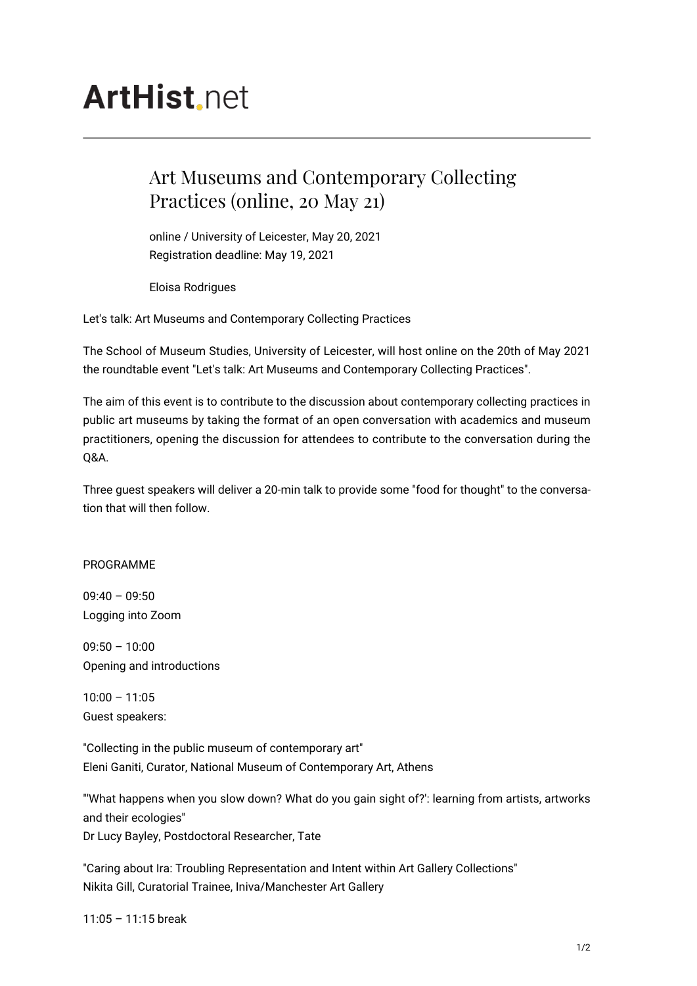## **ArtHist** net

## Art Museums and Contemporary Collecting Practices (online, 20 May 21)

online / University of Leicester, May 20, 2021 Registration deadline: May 19, 2021

Eloisa Rodrigues

Let's talk: Art Museums and Contemporary Collecting Practices

The School of Museum Studies, University of Leicester, will host online on the 20th of May 2021 the roundtable event "Let's talk: Art Museums and Contemporary Collecting Practices".

The aim of this event is to contribute to the discussion about contemporary collecting practices in public art museums by taking the format of an open conversation with academics and museum practitioners, opening the discussion for attendees to contribute to the conversation during the Q&A.

Three guest speakers will deliver a 20-min talk to provide some "food for thought" to the conversation that will then follow.

## PROGRAMME

 $09:40 - 09:50$ Logging into Zoom

09:50 – 10:00 Opening and introductions

 $10:00 - 11:05$ Guest speakers:

"Collecting in the public museum of contemporary art" Eleni Ganiti, Curator, National Museum of Contemporary Art, Athens

"'What happens when you slow down? What do you gain sight of?': learning from artists, artworks and their ecologies" Dr Lucy Bayley, Postdoctoral Researcher, Tate

"Caring about Ira: Troubling Representation and Intent within Art Gallery Collections" Nikita Gill, Curatorial Trainee, Iniva/Manchester Art Gallery

11:05 – 11:15 break